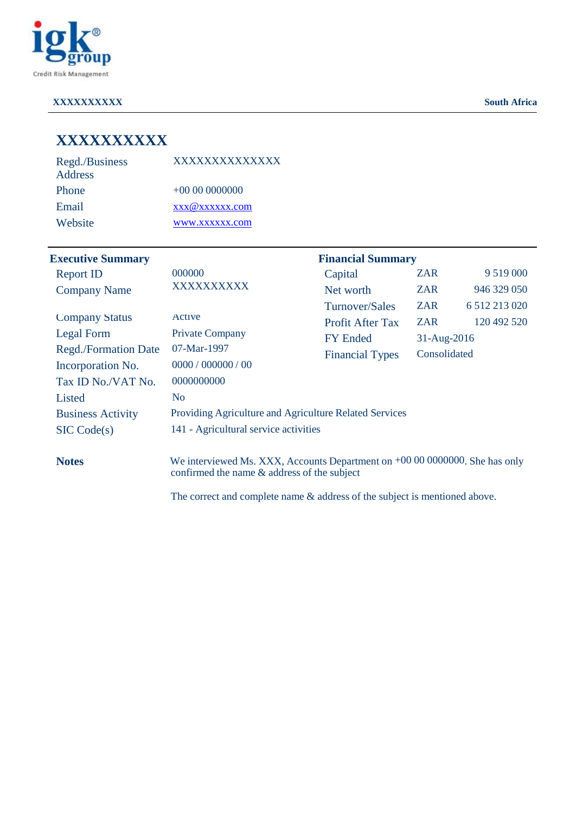

#### **XXXXXXXXXX South Africa**

| XXXXXXXXXXX |  |  |
|-------------|--|--|
|             |  |  |

| Regd./Business | XXXXXXXXXXXXX  |
|----------------|----------------|
| Address        |                |
| <b>Phone</b>   | $+000000000$   |
| Email          | xxx@xxxxxx.com |
| Website        | www.xxxxxx.com |

| <b>Executive Summary</b>    |                                                        | <b>Financial Summary</b> |              |                  |
|-----------------------------|--------------------------------------------------------|--------------------------|--------------|------------------|
| <b>Report ID</b>            | 000000                                                 | Capital                  | <b>ZAR</b>   | 9 5 1 9 0 0 0    |
| <b>Company Name</b>         | XXXXXXXXXX                                             | Net worth                | <b>ZAR</b>   | 946 329 050      |
|                             |                                                        | Turnover/Sales           | <b>ZAR</b>   | 6 5 12 2 13 0 20 |
| <b>Company Status</b>       | Active                                                 | <b>Profit After Tax</b>  | <b>ZAR</b>   | 120 492 520      |
| Legal Form                  | <b>Private Company</b>                                 | <b>FY Ended</b>          | 31-Aug-2016  |                  |
| <b>Regd./Formation Date</b> | 07-Mar-1997                                            |                          | Consolidated |                  |
| Incorporation No.           | 0000 / 000000 / 00                                     |                          |              |                  |
| Tax ID No./VAT No.          | 0000000000                                             |                          |              |                  |
| Listed                      | N <sub>o</sub>                                         |                          |              |                  |
| <b>Business Activity</b>    | Providing Agriculture and Agriculture Related Services |                          |              |                  |
| SIC Code(s)                 | 141 - Agricultural service activities                  |                          |              |                  |
|                             |                                                        |                          |              |                  |
|                             |                                                        | <b>Financial Types</b>   |              |                  |

**Notes** We interviewed Ms. XXX, Accounts Department on +00 00 0000000. She has only confirmed the name & address of the subject

The correct and complete name & address of the subject is mentioned above.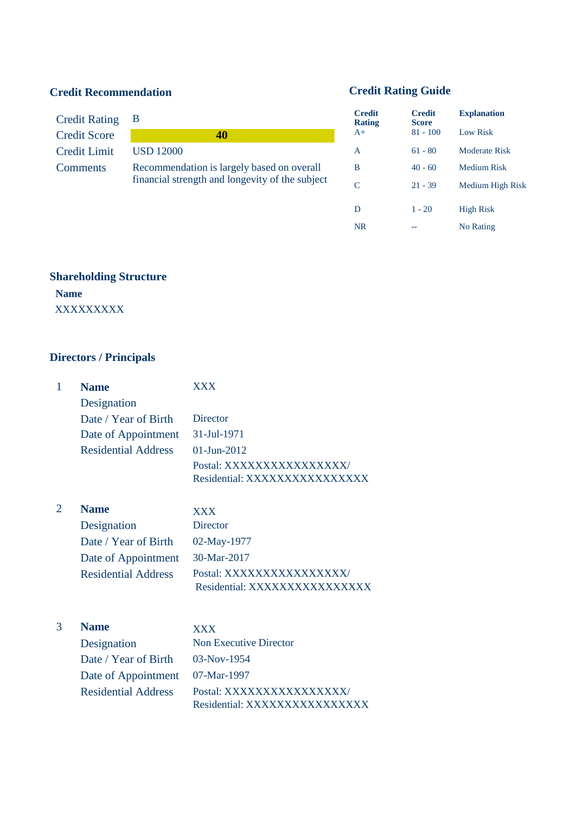# **Credit Recommendation Credit Rating Guide**

| Credit Rating B     |                                                 | <b>Credit</b><br><b>Rating</b> | <b>Credit</b><br><b>Score</b> | <b>Explanation</b>   |
|---------------------|-------------------------------------------------|--------------------------------|-------------------------------|----------------------|
| <b>Credit Score</b> | 40                                              | $A+$                           | $81 - 100$                    | Low Risk             |
| <b>Credit Limit</b> | <b>USD 12000</b>                                | A                              | $61 - 80$                     | <b>Moderate Risk</b> |
| <b>Comments</b>     | Recommendation is largely based on overall      | B                              | $40 - 60$                     | Medium Risk          |
|                     | financial strength and longevity of the subject |                                | $21 - 39$                     | Medium High          |

| <b>Credit</b><br>Score | <b>Explanation</b> |
|------------------------|--------------------|
| $81 - 100$             | Low Risk           |
| $61 - 80$              | Moderate Risk      |
| $40 - 60$              | <b>Medium Risk</b> |
| $21 - 39$              | Medium High Risk   |
|                        | <b>High Risk</b>   |
|                        |                    |
|                        | No Rating          |
|                        | $1 - 20$           |

## **Shareholding Structure**

**Name** XXXXXXXXX

# **Directors / Principals**

| $\mathbf{1}$ | <b>Name</b>                | <b>XXX</b>                                               |
|--------------|----------------------------|----------------------------------------------------------|
|              | Designation                |                                                          |
|              | Date / Year of Birth       | Director                                                 |
|              | Date of Appointment        | 31-Jul-1971                                              |
|              | <b>Residential Address</b> | 01-Jun-2012                                              |
|              |                            | Postal: XXXXXXXXXXXXXXXX                                 |
|              |                            | Residential: XXXXXXXXXXXXXXX                             |
| 2            | <b>Name</b>                | <b>XXX</b>                                               |
|              | Designation                | <b>Director</b>                                          |
|              | Date / Year of Birth       | 02-May-1977                                              |
|              |                            | 30-Mar-2017                                              |
|              | Date of Appointment        |                                                          |
|              | <b>Residential Address</b> | Postal: XXXXXXXXXXXXXXX/<br>Residential: XXXXXXXXXXXXXXX |
|              |                            |                                                          |
| 3            | <b>Name</b>                | <b>XXX</b>                                               |
|              | Designation                | <b>Non Executive Director</b>                            |
|              | Date / Year of Birth       | 03-Nov-1954                                              |
|              | Date of Appointment        | 07-Mar-1997                                              |
|              | <b>Residential Address</b> | Postal: XXXXXXXXXXXXXXXX                                 |

Residential: XXXXXXXXXXXXXXXX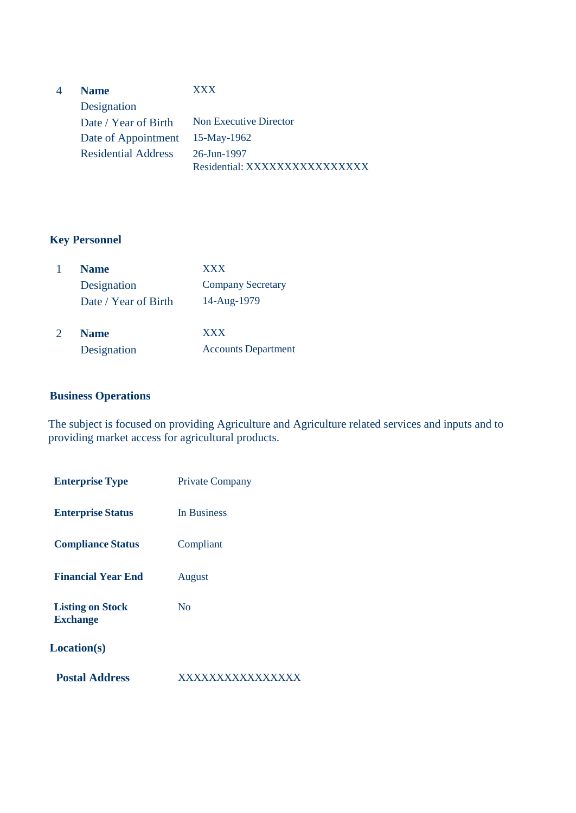| <b>Name</b>                | <b>XXX</b>                    |
|----------------------------|-------------------------------|
| Designation                |                               |
| Date / Year of Birth       | <b>Non Executive Director</b> |
| Date of Appointment        | 15-May-1962                   |
| <b>Residential Address</b> | 26-Jun-1997                   |
|                            | Residential: XXXXXXXXXXXXXXX  |

#### **Key Personnel**

| <b>Name</b>          | <b>XXX</b>                 |
|----------------------|----------------------------|
| Designation          | <b>Company Secretary</b>   |
| Date / Year of Birth | 14-Aug-1979                |
| <b>Name</b>          | <b>XXX</b>                 |
| Designation          | <b>Accounts Department</b> |

#### **Business Operations**

The subject is focused on providing Agriculture and Agriculture related services and inputs and to providing market access for agricultural products.

| <b>Enterprise Type</b>                     | <b>Private Company</b> |
|--------------------------------------------|------------------------|
| <b>Enterprise Status</b>                   | In Business            |
| <b>Compliance Status</b>                   | Compliant              |
| <b>Financial Year End</b>                  | August                 |
| <b>Listing on Stock</b><br><b>Exchange</b> | $\overline{N}_{0}$     |
| <b>Location(s)</b>                         |                        |
| <b>Postal Address</b>                      |                        |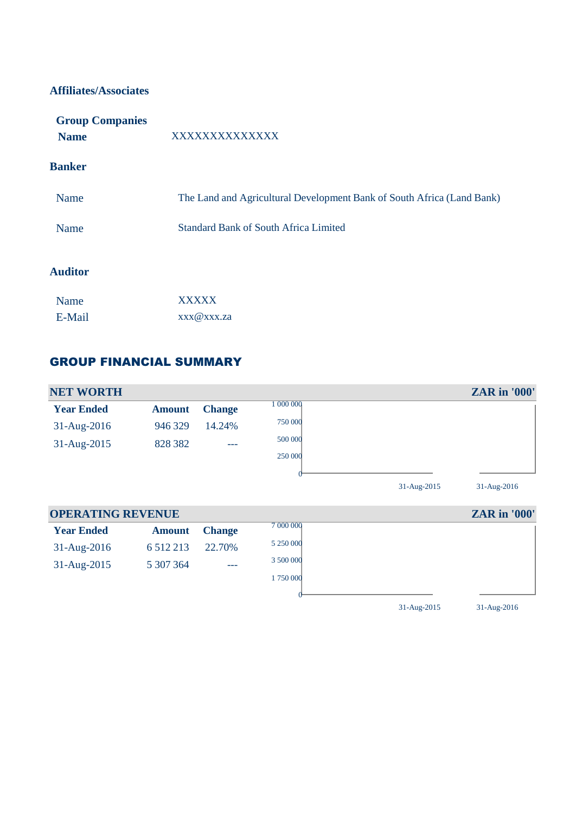#### **Affiliates/Associates**

| <b>Group Companies</b> |                                                                        |
|------------------------|------------------------------------------------------------------------|
| <b>Name</b>            | XXXXXXXXXXXXX                                                          |
| <b>Banker</b>          |                                                                        |
| Name                   | The Land and Agricultural Development Bank of South Africa (Land Bank) |
| <b>Name</b>            | <b>Standard Bank of South Africa Limited</b>                           |
| <b>Auditor</b>         |                                                                        |

| Name   | <b>XXXXX</b>         |  |
|--------|----------------------|--|
| E-Mail | $XXX$ $@XXX$ $Z$ $a$ |  |

### GROUP FINANCIAL SUMMARY



| <b>OPERATING REVENUE</b> |               |               | <b>ZAR</b> in '000' |  |
|--------------------------|---------------|---------------|---------------------|--|
| <b>Year Ended</b>        | <b>Amount</b> | <b>Change</b> | 7 000 000           |  |
| $31 - \text{Aug-}2016$   | 6 5 1 2 2 1 3 | 22.70%        | 5 250 000           |  |
| $31 - \text{Aug-}2015$   | 5 307 364     | $---$         | 3 500 000           |  |
|                          |               |               | 1750000             |  |
|                          |               |               |                     |  |

31-Aug-2015 31-Aug-2016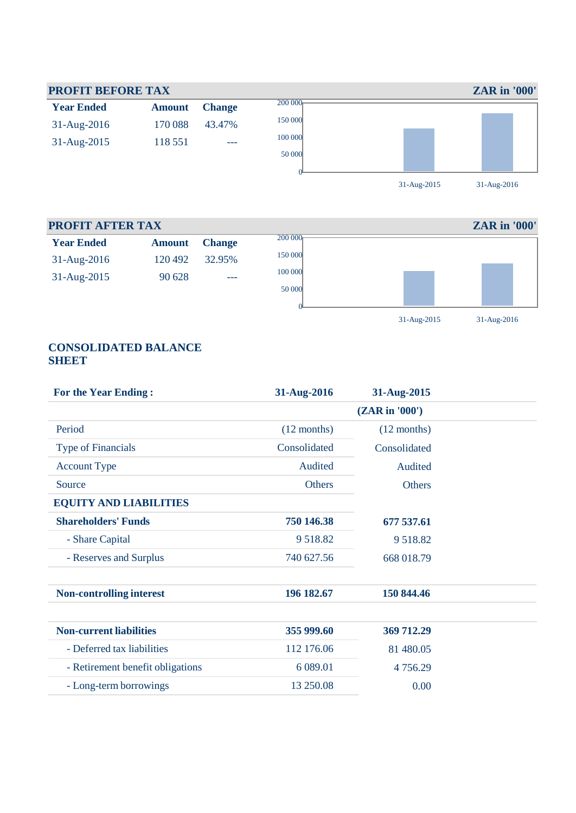

#### **PROFIT AFTER TAX ZAR in '000' Year Ended Amount Change** 31-Aug-2016 120 492 32.95% 31-Aug-2015 90 628 ---  $\frac{200000}{ }$ 150 000 100 000 50 000  $\overline{0}$ 31-Aug-2015 31-Aug-2016

#### **CONSOLIDATED BALANCE SHEET**

| <b>For the Year Ending:</b>      | 31-Aug-2016   | 31-Aug-2015    |  |
|----------------------------------|---------------|----------------|--|
|                                  |               | (ZAR in '000') |  |
| Period                           | $(12$ months) | $(12$ months)  |  |
| <b>Type of Financials</b>        | Consolidated  | Consolidated   |  |
| <b>Account Type</b>              | Audited       | Audited        |  |
| Source                           | <b>Others</b> | <b>Others</b>  |  |
| <b>EQUITY AND LIABILITIES</b>    |               |                |  |
| <b>Shareholders' Funds</b>       | 750 146.38    | 677 537.61     |  |
| - Share Capital                  | 9 5 18.82     | 9518.82        |  |
| - Reserves and Surplus           | 740 627.56    | 668 018.79     |  |
| <b>Non-controlling interest</b>  | 196 182.67    | 150 844.46     |  |
| <b>Non-current liabilities</b>   | 355 999.60    | 369 712.29     |  |
| - Deferred tax liabilities       | 112 176.06    | 81 480.05      |  |
| - Retirement benefit obligations | 6 0 8 9.01    | 4756.29        |  |
| - Long-term borrowings           | 13 250.08     | 0.00           |  |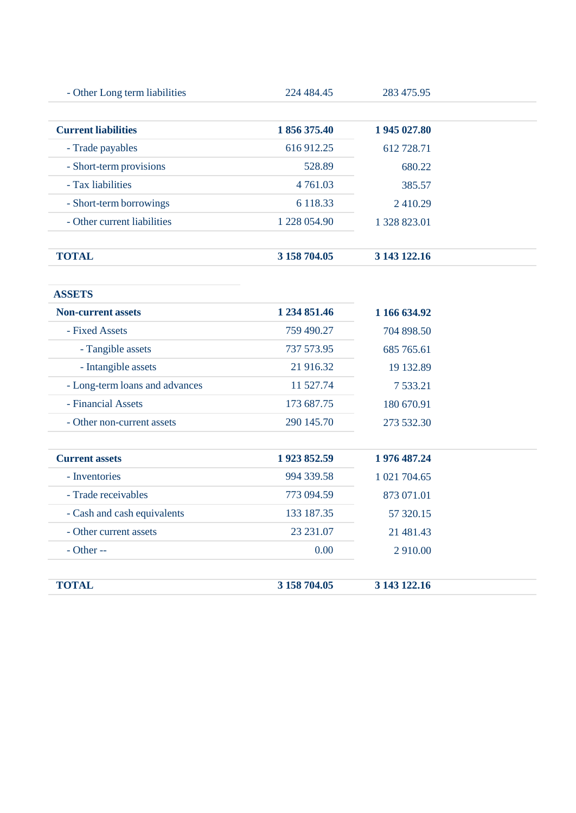| 224 484.45   | 283 475.95   |
|--------------|--------------|
| 1 856 375.40 | 1 945 027.80 |
| 616912.25    | 612 728.71   |
| 528.89       | 680.22       |
| 4 7 6 1 .0 3 | 385.57       |
| 6 118.33     | 2410.29      |
| 1 228 054.90 | 1 328 823.01 |
| 3 158 704.05 | 3 143 122.16 |
|              |              |

**ASSETS**

| <b>Non-current assets</b>      | 1 234 851.46 | 1 166 634.92 |
|--------------------------------|--------------|--------------|
| - Fixed Assets                 | 759 490.27   | 704 898.50   |
| - Tangible assets              | 737 573.95   | 685 765.61   |
| - Intangible assets            | 21 916.32    | 19 132.89    |
| - Long-term loans and advances | 11 527.74    | 7 533.21     |
| - Financial Assets             | 173 687.75   | 180 670.91   |
| - Other non-current assets     | 290 145.70   | 273 532.30   |
| <b>Current assets</b>          | 1923852.59   | 1 976 487.24 |
| - Inventories                  | 994 339.58   | 1 021 704.65 |
| - Trade receivables            | 773 094.59   | 873 071.01   |
| - Cash and cash equivalents    | 133 187.35   | 57 320.15    |
| - Other current assets         | 23 231.07    | 21 481.43    |
| $-$ Other $-$                  | 0.00         | 2 910.00     |

| <b>TOTAL</b> | 3 158 704.05 | 3 143 122.16 |
|--------------|--------------|--------------|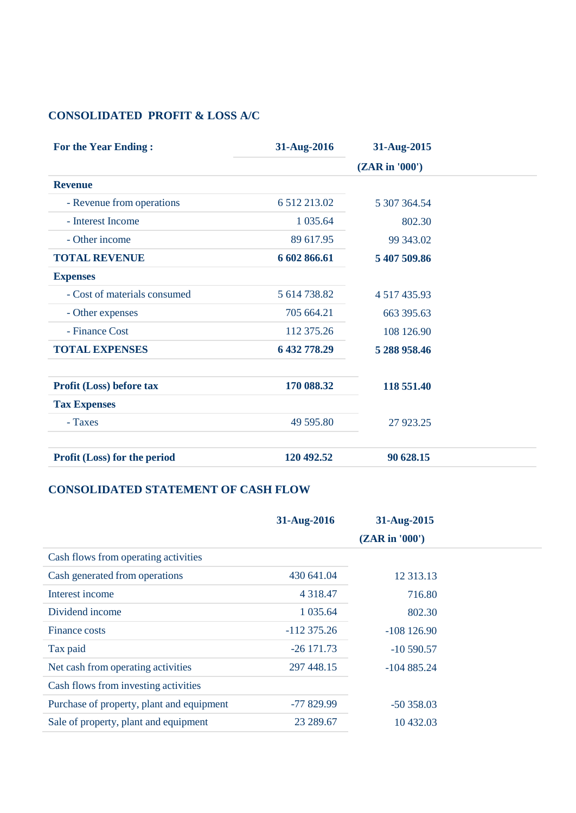# **CONSOLIDATED PROFIT & LOSS A/C**

| <b>For the Year Ending:</b>         | 31-Aug-2016     | 31-Aug-2015    |  |
|-------------------------------------|-----------------|----------------|--|
|                                     |                 | (ZAR in '000') |  |
| <b>Revenue</b>                      |                 |                |  |
| - Revenue from operations           | 6 5 12 2 13 .02 | 5 307 364.54   |  |
| - Interest Income                   | 1 0 35.64       | 802.30         |  |
| - Other income                      | 89 617.95       | 99 343.02      |  |
| <b>TOTAL REVENUE</b>                | 6 602 866.61    | 5 407 509.86   |  |
| <b>Expenses</b>                     |                 |                |  |
| - Cost of materials consumed        | 5 614 738.82    | 4 517 435.93   |  |
| - Other expenses                    | 705 664.21      | 663 395.63     |  |
| - Finance Cost                      | 112 375.26      | 108 126.90     |  |
| <b>TOTAL EXPENSES</b>               | 6 432 778.29    | 5 288 958.46   |  |
| <b>Profit (Loss) before tax</b>     | 170 088.32      | 118 551.40     |  |
| <b>Tax Expenses</b>                 |                 |                |  |
| - Taxes                             | 49 595.80       | 27 923.25      |  |
| <b>Profit (Loss) for the period</b> | 120 492.52      | 90 628.15      |  |

# **CONSOLIDATED STATEMENT OF CASH FLOW**

|                                           | 31-Aug-2016   | 31-Aug-2015    |
|-------------------------------------------|---------------|----------------|
|                                           |               | (ZAR in '000') |
| Cash flows from operating activities      |               |                |
| Cash generated from operations            | 430 641.04    | 12 313.13      |
| Interest income                           | 4 3 1 8 . 4 7 | 716.80         |
| Dividend income                           | 1 0 35.64     | 802.30         |
| Finance costs                             | $-112375.26$  | $-108$ 126.90  |
| Tax paid                                  | $-26$ 171.73  | $-10590.57$    |
| Net cash from operating activities        | 297 448.15    | $-104885.24$   |
| Cash flows from investing activities      |               |                |
| Purchase of property, plant and equipment | $-77829.99$   | $-50358.03$    |
| Sale of property, plant and equipment     | 23 289.67     | 10 432.03      |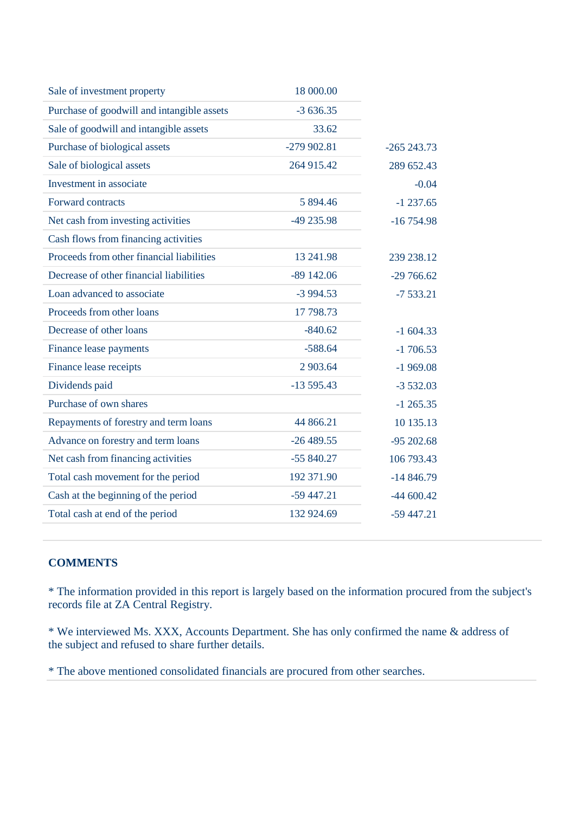| Sale of investment property                | 18 000.00   |              |
|--------------------------------------------|-------------|--------------|
| Purchase of goodwill and intangible assets | $-3636.35$  |              |
| Sale of goodwill and intangible assets     | 33.62       |              |
| Purchase of biological assets              | -279 902.81 | $-265243.73$ |
| Sale of biological assets                  | 264 915.42  | 289 652.43   |
| Investment in associate                    |             | $-0.04$      |
| Forward contracts                          | 5 894.46    | $-1237.65$   |
| Net cash from investing activities         | -49 235.98  | $-16754.98$  |
| Cash flows from financing activities       |             |              |
| Proceeds from other financial liabilities  | 13 24 1.98  | 239 238.12   |
| Decrease of other financial liabilities    | $-89142.06$ | $-29766.62$  |
| Loan advanced to associate                 | $-3994.53$  | $-7533.21$   |
| Proceeds from other loans                  | 17 798.73   |              |
| Decrease of other loans                    | $-840.62$   | $-1604.33$   |
| Finance lease payments                     | $-588.64$   | $-1706.53$   |
| Finance lease receipts                     | 2 903.64    | $-1969.08$   |
| Dividends paid                             | $-13595.43$ | $-3532.03$   |
| Purchase of own shares                     |             | $-1265.35$   |
| Repayments of forestry and term loans      | 44 866.21   | 10 135.13    |
| Advance on forestry and term loans         | $-26489.55$ | $-95202.68$  |
| Net cash from financing activities         | $-55840.27$ | 106 793.43   |
| Total cash movement for the period         | 192 371.90  | $-14846.79$  |
| Cash at the beginning of the period        | $-59447.21$ | $-44600.42$  |
| Total cash at end of the period            | 132 924.69  | $-59447.21$  |
|                                            |             |              |

## **COMMENTS**

\* The information provided in this report is largely based on the information procured from the subject's records file at ZA Central Registry.

\* We interviewed Ms. XXX, Accounts Department. She has only confirmed the name & address of the subject and refused to share further details.

\* The above mentioned consolidated financials are procured from other searches.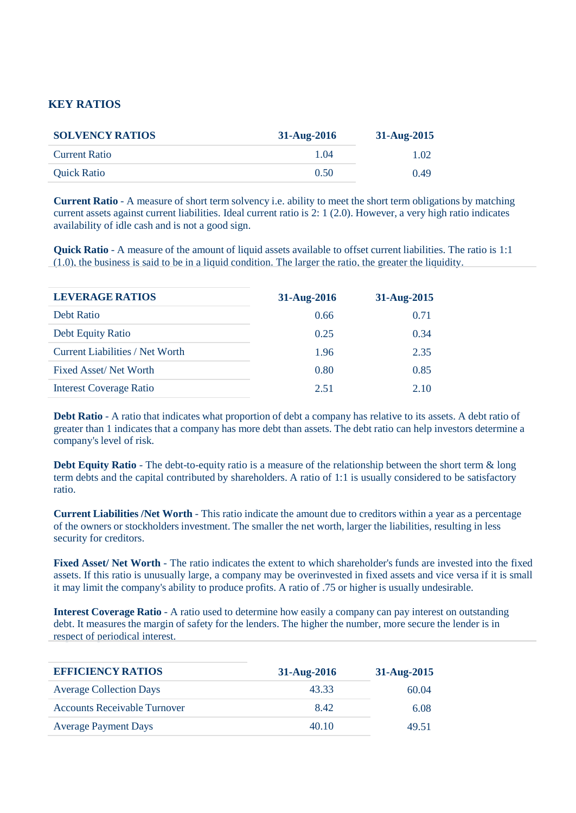#### **KEY RATIOS**

| <b>SOLVENCY RATIOS</b> | $31-Aug-2016$ | $31-Aug-2015$ |
|------------------------|---------------|---------------|
| <b>Current Ratio</b>   | 1 04          | 1.02          |
| <b>Quick Ratio</b>     | 0.50          | 0.49          |

**Current Ratio** - A measure of short term solvency i.e. ability to meet the short term obligations by matching current assets against current liabilities. Ideal current ratio is 2: 1 (2.0). However, a very high ratio indicates availability of idle cash and is not a good sign.

**Quick Ratio** - A measure of the amount of liquid assets available to offset current liabilities. The ratio is 1:1 (1.0), the business is said to be in a liquid condition. The larger the ratio, the greater the liquidity.

| <b>LEVERAGE RATIOS</b>          | 31-Aug-2016 | 31-Aug-2015 |
|---------------------------------|-------------|-------------|
| Debt Ratio                      | 0.66        | 0.71        |
| Debt Equity Ratio               | 0.25        | 0.34        |
| Current Liabilities / Net Worth | 1.96        | 2.35        |
| Fixed Asset/Net Worth           | 0.80        | 0.85        |
| <b>Interest Coverage Ratio</b>  | 2.51        | 2.10        |

**Debt Ratio** - A ratio that indicates what proportion of debt a company has relative to its assets. A debt ratio of greater than 1 indicates that a company has more debt than assets. The debt ratio can help investors determine a company's level of risk.

**Debt Equity Ratio** - The debt-to-equity ratio is a measure of the relationship between the short term & long term debts and the capital contributed by shareholders. A ratio of 1:1 is usually considered to be satisfactory ratio.

**Current Liabilities /Net Worth** - This ratio indicate the amount due to creditors within a year as a percentage of the owners or stockholders investment. The smaller the net worth, larger the liabilities, resulting in less security for creditors.

**Fixed Asset/ Net Worth** - The ratio indicates the extent to which shareholder's funds are invested into the fixed assets. If this ratio is unusually large, a company may be overinvested in fixed assets and vice versa if it is small it may limit the company's ability to produce profits. A ratio of .75 or higher is usually undesirable.

**Interest Coverage Ratio** - A ratio used to determine how easily a company can pay interest on outstanding debt. It measures the margin of safety for the lenders. The higher the number, more secure the lender is in respect of periodical interest.

| <b>EFFICIENCY RATIOS</b>            | 31-Aug-2016 | 31-Aug-2015 |
|-------------------------------------|-------------|-------------|
| <b>Average Collection Days</b>      | 43.33       | 60.04       |
| <b>Accounts Receivable Turnover</b> | 8.42        | 6.08        |
| <b>Average Payment Days</b>         | 40.10       | 49.51       |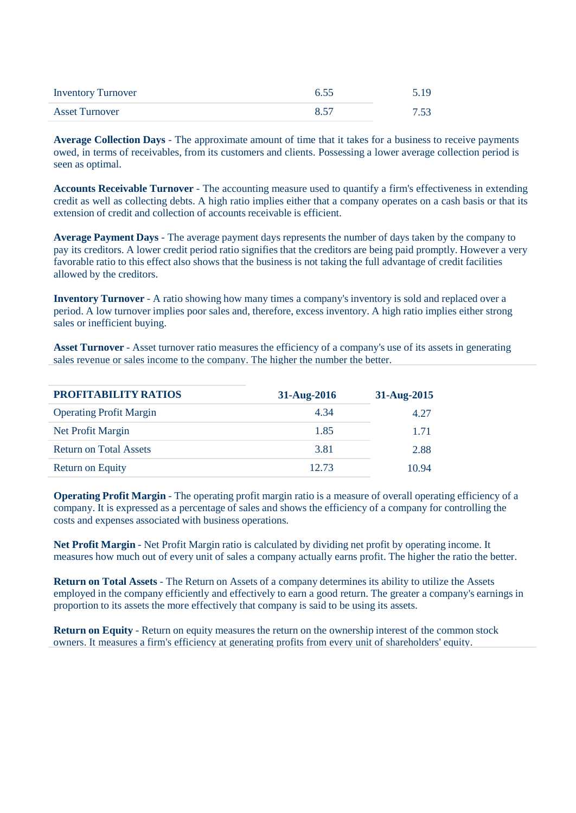| <b>Inventory Turnover</b> | 6.55 | 5.19 |
|---------------------------|------|------|
| <b>Asset Turnover</b>     | 8.57 | 7.53 |

**Average Collection Days** - The approximate amount of time that it takes for a business to receive payments owed, in terms of receivables, from its customers and clients. Possessing a lower average collection period is seen as optimal.

**Accounts Receivable Turnover** - The accounting measure used to quantify a firm's effectiveness in extending credit as well as collecting debts. A high ratio implies either that a company operates on a cash basis or that its extension of credit and collection of accounts receivable is efficient.

**Average Payment Days** - The average payment days represents the number of days taken by the company to pay its creditors. A lower credit period ratio signifies that the creditors are being paid promptly. However a very favorable ratio to this effect also shows that the business is not taking the full advantage of credit facilities allowed by the creditors.

**Inventory Turnover** - A ratio showing how many times a company's inventory is sold and replaced over a period. A low turnover implies poor sales and, therefore, excess inventory. A high ratio implies either strong sales or inefficient buying.

**Asset Turnover** - Asset turnover ratio measures the efficiency of a company's use of its assets in generating sales revenue or sales income to the company. The higher the number the better.

| PROFITABILITY RATIOS           | 31-Aug-2016 | 31-Aug-2015 |
|--------------------------------|-------------|-------------|
| <b>Operating Profit Margin</b> | 4.34        | 4.27        |
| Net Profit Margin              | 1.85        | 1.71        |
| <b>Return on Total Assets</b>  | 3.81        | 2.88        |
| <b>Return on Equity</b>        | 12.73       | 10.94       |

**Operating Profit Margin** - The operating profit margin ratio is a measure of overall operating efficiency of a company. It is expressed as a percentage of sales and shows the efficiency of a company for controlling the costs and expenses associated with business operations.

**Net Profit Margin** - Net Profit Margin ratio is calculated by dividing net profit by operating income. It measures how much out of every unit of sales a company actually earns profit. The higher the ratio the better.

**Return on Total Assets** - The Return on Assets of a company determines its ability to utilize the Assets employed in the company efficiently and effectively to earn a good return. The greater a company's earnings in proportion to its assets the more effectively that company is said to be using its assets.

**Return on Equity** - Return on equity measures the return on the ownership interest of the common stock owners. It measures a firm's efficiency at generating profits from every unit of shareholders' equity.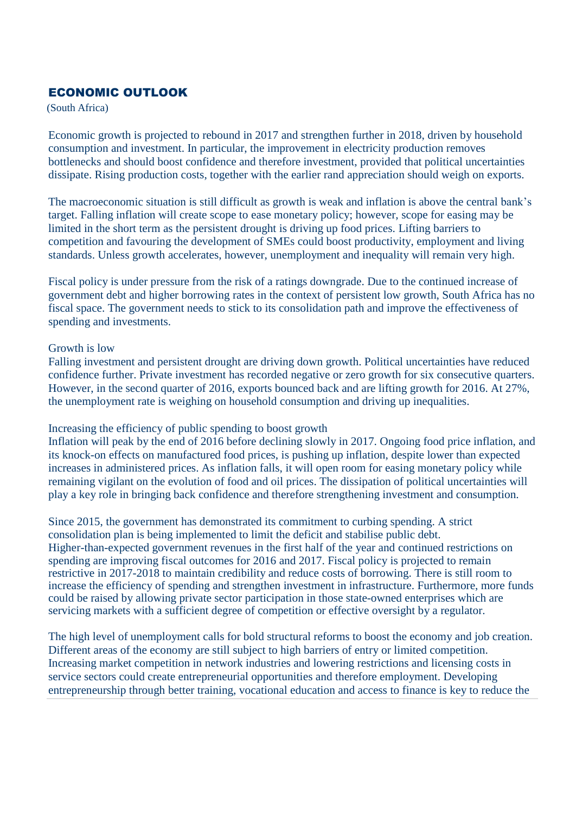## ECONOMIC OUTLOOK

(South Africa)

Economic growth is projected to rebound in 2017 and strengthen further in 2018, driven by household consumption and investment. In particular, the improvement in electricity production removes bottlenecks and should boost confidence and therefore investment, provided that political uncertainties dissipate. Rising production costs, together with the earlier rand appreciation should weigh on exports.

The macroeconomic situation is still difficult as growth is weak and inflation is above the central bank's target. Falling inflation will create scope to ease monetary policy; however, scope for easing may be limited in the short term as the persistent drought is driving up food prices. Lifting barriers to competition and favouring the development of SMEs could boost productivity, employment and living standards. Unless growth accelerates, however, unemployment and inequality will remain very high.

Fiscal policy is under pressure from the risk of a ratings downgrade. Due to the continued increase of government debt and higher borrowing rates in the context of persistent low growth, South Africa has no fiscal space. The government needs to stick to its consolidation path and improve the effectiveness of spending and investments.

#### Growth is low

Falling investment and persistent drought are driving down growth. Political uncertainties have reduced confidence further. Private investment has recorded negative or zero growth for six consecutive quarters. However, in the second quarter of 2016, exports bounced back and are lifting growth for 2016. At 27%, the unemployment rate is weighing on household consumption and driving up inequalities.

#### Increasing the efficiency of public spending to boost growth

Inflation will peak by the end of 2016 before declining slowly in 2017. Ongoing food price inflation, and its knock-on effects on manufactured food prices, is pushing up inflation, despite lower than expected increases in administered prices. As inflation falls, it will open room for easing monetary policy while remaining vigilant on the evolution of food and oil prices. The dissipation of political uncertainties will play a key role in bringing back confidence and therefore strengthening investment and consumption.

Since 2015, the government has demonstrated its commitment to curbing spending. A strict consolidation plan is being implemented to limit the deficit and stabilise public debt. Higher-than-expected government revenues in the first half of the year and continued restrictions on spending are improving fiscal outcomes for 2016 and 2017. Fiscal policy is projected to remain restrictive in 2017-2018 to maintain credibility and reduce costs of borrowing. There is still room to increase the efficiency of spending and strengthen investment in infrastructure. Furthermore, more funds could be raised by allowing private sector participation in those state-owned enterprises which are servicing markets with a sufficient degree of competition or effective oversight by a regulator.

The high level of unemployment calls for bold structural reforms to boost the economy and job creation. Different areas of the economy are still subject to high barriers of entry or limited competition. Increasing market competition in network industries and lowering restrictions and licensing costs in service sectors could create entrepreneurial opportunities and therefore employment. Developing entrepreneurship through better training, vocational education and access to finance is key to reduce the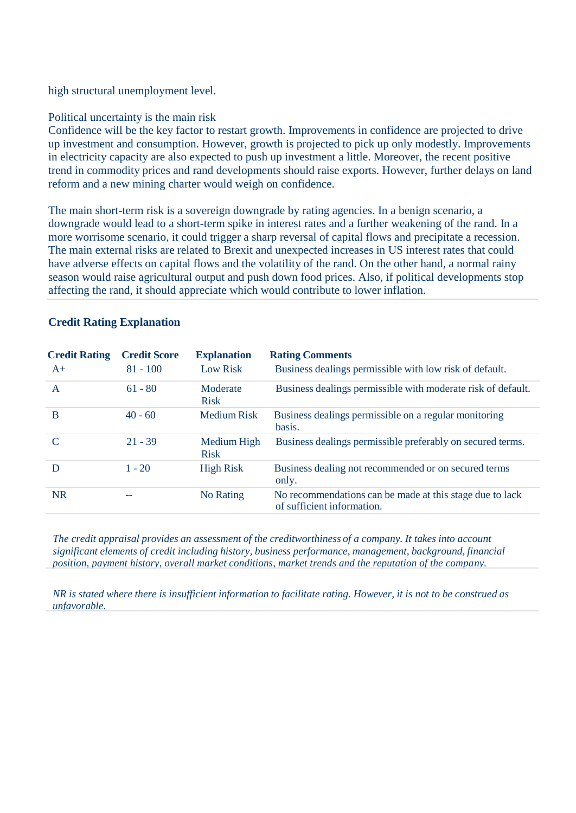high structural unemployment level.

#### Political uncertainty is the main risk

Confidence will be the key factor to restart growth. Improvements in confidence are projected to drive up investment and consumption. However, growth is projected to pick up only modestly. Improvements in electricity capacity are also expected to push up investment a little. Moreover, the recent positive trend in commodity prices and rand developments should raise exports. However, further delays on land reform and a new mining charter would weigh on confidence.

The main short-term risk is a sovereign downgrade by rating agencies. In a benign scenario, a downgrade would lead to a short-term spike in interest rates and a further weakening of the rand. In a more worrisome scenario, it could trigger a sharp reversal of capital flows and precipitate a recession. The main external risks are related to Brexit and unexpected increases in US interest rates that could have adverse effects on capital flows and the volatility of the rand. On the other hand, a normal rainy season would raise agricultural output and push down food prices. Also, if political developments stop affecting the rand, it should appreciate which would contribute to lower inflation.

|  | <b>Credit Rating Explanation</b> |
|--|----------------------------------|
|  |                                  |

| <b>Credit Rating</b> | <b>Credit Score</b> | <b>Explanation</b>         | <b>Rating Comments</b>                                                                 |
|----------------------|---------------------|----------------------------|----------------------------------------------------------------------------------------|
| $A+$                 | $81 - 100$          | <b>Low Risk</b>            | Business dealings permissible with low risk of default.                                |
| A                    | $61 - 80$           | Moderate<br><b>Risk</b>    | Business dealings permissible with moderate risk of default.                           |
| B                    | $40 - 60$           | <b>Medium Risk</b>         | Business dealings permissible on a regular monitoring<br>basis.                        |
|                      | $21 - 39$           | Medium High<br><b>Risk</b> | Business dealings permissible preferably on secured terms.                             |
| D                    | $1 - 20$            | <b>High Risk</b>           | Business dealing not recommended or on secured terms<br>only.                          |
| <b>NR</b>            | --                  | No Rating                  | No recommendations can be made at this stage due to lack<br>of sufficient information. |

*The credit appraisal provides an assessment of the creditworthiness of a company. It takes into account significant elements of credit including history, business performance, management, background, financial position, payment history, overall market conditions, market trends and the reputation of the company.* 

NR is stated where there is insufficient information to facilitate rating. However, it is not to be construed as *unfavorable.*